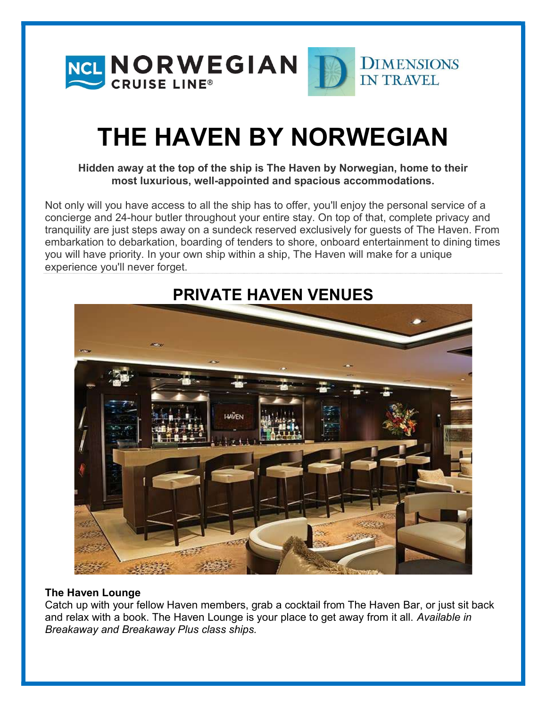

# THE HAVEN BY NORWEGIAN

#### Hidden away at the top of the ship is The Haven by Norwegian, home to their most luxurious, well-appointed and spacious accommodations.

Not only will you have access to all the ship has to offer, you'll enjoy the personal service of a concierge and 24-hour butler throughout your entire stay. On top of that, complete privacy and tranquility are just steps away on a sundeck reserved exclusively for guests of The Haven. From embarkation to debarkation, boarding of tenders to shore, onboard entertainment to dining times you will have priority. In your own ship within a ship, The Haven will make for a unique experience you'll never forget.



## PRIVATE HAVEN VENUES

#### The Haven Lounge

Catch up with your fellow Haven members, grab a cocktail from The Haven Bar, or just sit back and relax with a book. The Haven Lounge is your place to get away from it all. Available in Breakaway and Breakaway Plus class ships.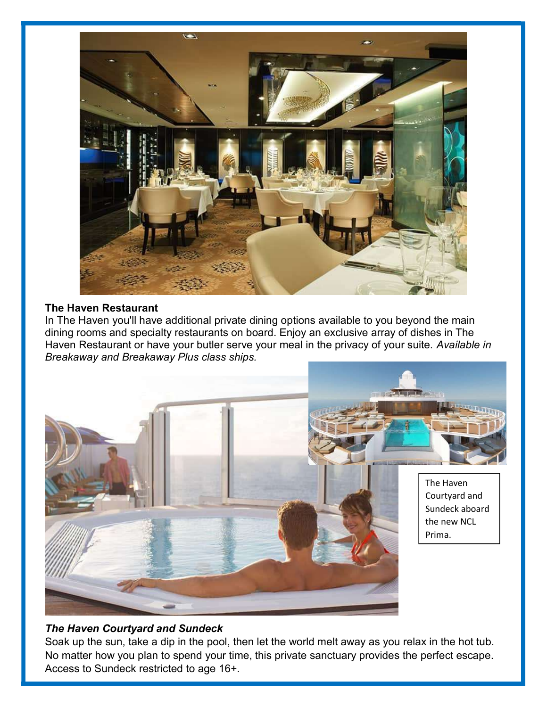

#### The Haven Restaurant

In The Haven you'll have additional private dining options available to you beyond the main dining rooms and specialty restaurants on board. Enjoy an exclusive array of dishes in The Haven Restaurant or have your butler serve your meal in the privacy of your suite. Available in Breakaway and Breakaway Plus class ships.



#### The Haven Courtyard and Sundeck

Soak up the sun, take a dip in the pool, then let the world melt away as you relax in the hot tub. No matter how you plan to spend your time, this private sanctuary provides the perfect escape. Access to Sundeck restricted to age 16+.